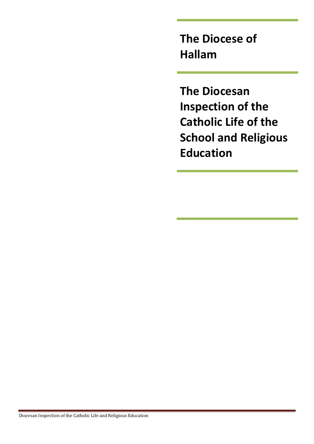**The Diocese of Hallam** 

**The Diocesan Inspection of the Catholic Life of the School and Religious Education**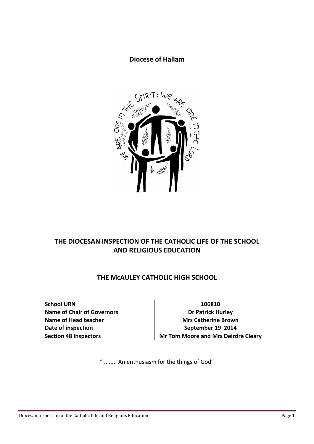## **Diocese of Hallam**



## **THE DIOCESAN INSPECTION OF THE CATHOLIC LIFE OF THE SCHOOL AND RELIGIOUS EDUCATION**

## **THE McAULEY CATHOLIC HIGH SCHOOL**

| <b>School URN</b>                 | 106810                                     |
|-----------------------------------|--------------------------------------------|
| <b>Name of Chair of Governors</b> | <b>Dr Patrick Hurley</b>                   |
| Name of Head teacher              | <b>Mrs Catherine Brown</b>                 |
| Date of inspection                | September 19 2014                          |
| <b>Section 48 Inspectors</b>      | <b>Mr Tom Moore and Mrs Deirdre Cleary</b> |

" ........ An enthusiasm for the things of God"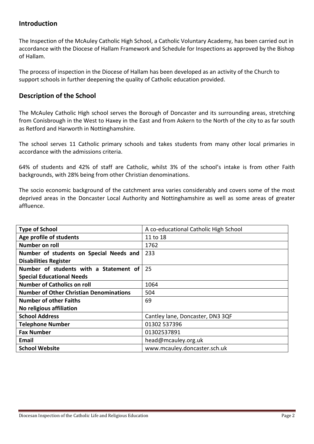## **Introduction**

The Inspection of the McAuley Catholic High School, a Catholic Voluntary Academy, has been carried out in accordance with the Diocese of Hallam Framework and Schedule for Inspections as approved by the Bishop of Hallam.

The process of inspection in the Diocese of Hallam has been developed as an activity of the Church to support schools in further deepening the quality of Catholic education provided.

## **Description of the School**

The McAuley Catholic High school serves the Borough of Doncaster and its surrounding areas, stretching from Conisbrough in the West to Haxey in the East and from Askern to the North of the city to as far south as Retford and Harworth in Nottinghamshire.

The school serves 11 Catholic primary schools and takes students from many other local primaries in accordance with the admissions criteria.

64% of students and 42% of staff are Catholic, whilst 3% of the school's intake is from other Faith backgrounds, with 28% being from other Christian denominations.

The socio economic background of the catchment area varies considerably and covers some of the most deprived areas in the Doncaster Local Authority and Nottinghamshire as well as some areas of greater affluence.

| <b>Type of School</b>                          | A co-educational Catholic High School |
|------------------------------------------------|---------------------------------------|
| Age profile of students                        | 11 to 18                              |
| Number on roll                                 | 1762                                  |
| Number of students on Special Needs and        | 233                                   |
| <b>Disabilities Register</b>                   |                                       |
| Number of students with a Statement of         | 25                                    |
| <b>Special Educational Needs</b>               |                                       |
| <b>Number of Catholics on roll</b>             | 1064                                  |
| <b>Number of Other Christian Denominations</b> | 504                                   |
| <b>Number of other Faiths</b>                  | 69                                    |
| No religious affiliation                       |                                       |
| <b>School Address</b>                          | Cantley lane, Doncaster, DN3 3QF      |
| <b>Telephone Number</b>                        | 01302 537396                          |
| <b>Fax Number</b>                              | 01302537891                           |
| Email                                          | head@mcauley.org.uk                   |
| <b>School Website</b>                          | www.mcauley.doncaster.sch.uk          |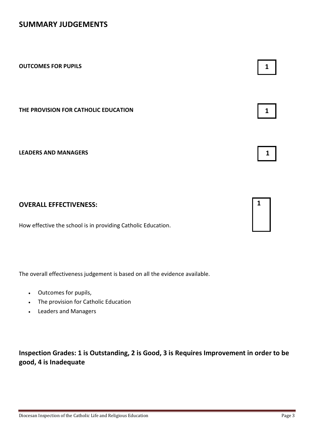## **SUMMARY JUDGEMENTS**

| <b>OUTCOMES FOR PUPILS</b>           |  |
|--------------------------------------|--|
| THE PROVISION FOR CATHOLIC EDUCATION |  |
| <b>LEADERS AND MANAGERS</b>          |  |
|                                      |  |

## **OVERALL EFFECTIVENESS:**

How effective the school is in providing Catholic Education.

The overall effectiveness judgement is based on all the evidence available.

- Outcomes for pupils,
- The provision for Catholic Education
- Leaders and Managers

**Inspection Grades: 1 is Outstanding, 2 is Good, 3 is Requires Improvement in order to be good, 4 is Inadequate**

**1**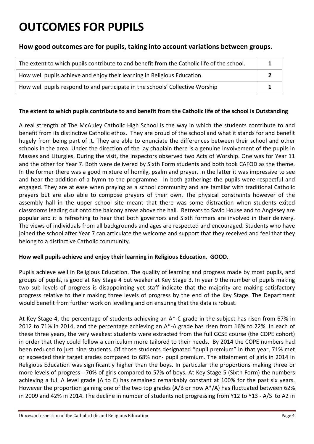# **OUTCOMES FOR PUPILS**

## **How good outcomes are for pupils, taking into account variations between groups.**

| The extent to which pupils contribute to and benefit from the Catholic life of the school. |  |
|--------------------------------------------------------------------------------------------|--|
| How well pupils achieve and enjoy their learning in Religious Education.                   |  |
| How well pupils respond to and participate in the schools' Collective Worship              |  |

#### **The extent to which pupils contribute to and benefit from the Catholic life of the school is Outstanding**

A real strength of The McAuley Catholic High School is the way in which the students contribute to and benefit from its distinctive Catholic ethos. They are proud of the school and what it stands for and benefit hugely from being part of it. They are able to enunciate the differences between their school and other schools in the area. Under the direction of the lay chaplain there is a genuine involvement of the pupils in Masses and Liturgies. During the visit, the inspectors observed two Acts of Worship. One was for Year 11 and the other for Year 7. Both were delivered by Sixth Form students and both took CAFOD as the theme. In the former there was a good mixture of homily, psalm and prayer. In the latter it was impressive to see and hear the addition of a hymn to the programme. In both gatherings the pupils were respectful and engaged. They are at ease when praying as a school community and are familiar with traditional Catholic prayers but are also able to compose prayers of their own. The physical constraints however of the assembly hall in the upper school site meant that there was some distraction when students exited classrooms leading out onto the balcony areas above the hall. Retreats to Savio House and to Anglesey are popular and it is refreshing to hear that both governors and Sixth formers are involved in their delivery. The views of individuals from all backgrounds and ages are respected and encouraged. Students who have joined the school after Year 7 can articulate the welcome and support that they received and feel that they belong to a distinctive Catholic community.

#### **How well pupils achieve and enjoy their learning in Religious Education. GOOD.**

Pupils achieve well in Religious Education. The quality of learning and progress made by most pupils, and groups of pupils, is good at Key Stage 4 but weaker at Key Stage 3. In year 9 the number of pupils making two sub levels of progress is disappointing yet staff indicate that the majority are making satisfactory progress relative to their making three levels of progress by the end of the Key Stage. The Department would benefit from further work on levelling and on ensuring that the data is robust.

At Key Stage 4, the percentage of students achieving an A\*-C grade in the subject has risen from 67% in 2012 to 71% in 2014, and the percentage achieving an A\*-A grade has risen from 16% to 22%. In each of these three years, the very weakest students were extracted from the full GCSE course (the COPE cohort) in order that they could follow a curriculum more tailored to their needs. By 2014 the COPE numbers had been reduced to just nine students. Of those students designated "pupil premium" in that year, 71% met or exceeded their target grades compared to 68% non- pupil premium. The attainment of girls in 2014 in Religious Education was significantly higher than the boys. In particular the proportions making three or more levels of progress - 70% of girls compared to 57% of boys. At Key Stage 5 (Sixth Form) the numbers achieving a full A level grade (A to E) has remained remarkably constant at 100% for the past six years. However the proportion gaining one of the two top grades (A/B or now A\*/A) has fluctuated between 62% in 2009 and 42% in 2014. The decline in number of students not progressing from Y12 to Y13 - A/S to A2 in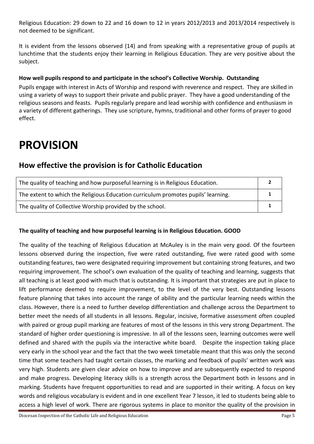Religious Education: 29 down to 22 and 16 down to 12 in years 2012/2013 and 2013/2014 respectively is not deemed to be significant.

It is evident from the lessons observed (14) and from speaking with a representative group of pupils at lunchtime that the students enjoy their learning in Religious Education. They are very positive about the subject.

### **How well pupils respond to and participate in the school's Collective Worship. Outstanding**

Pupils engage with interest in Acts of Worship and respond with reverence and respect. They are skilled in using a variety of ways to support their private and public prayer. They have a good understanding of the religious seasons and feasts. Pupils regularly prepare and lead worship with confidence and enthusiasm in a variety of different gatherings. They use scripture, hymns, traditional and other forms of prayer to good effect.

## **PROVISION**

## **How effective the provision is for Catholic Education**

| The quality of teaching and how purposeful learning is in Religious Education.    |  |
|-----------------------------------------------------------------------------------|--|
| The extent to which the Religious Education curriculum promotes pupils' learning. |  |
| The quality of Collective Worship provided by the school.                         |  |

#### **The quality of teaching and how purposeful learning is in Religious Education. GOOD**

The quality of the teaching of Religious Education at McAuley is in the main very good. Of the fourteen lessons observed during the inspection, five were rated outstanding, five were rated good with some outstanding features, two were designated requiring improvement but containing strong features, and two requiring improvement. The school's own evaluation of the quality of teaching and learning, suggests that all teaching is at least good with much that is outstanding. It is important that strategies are put in place to lift performance deemed to require improvement, to the level of the very best. Outstanding lessons feature planning that takes into account the range of ability and the particular learning needs within the class. However, there is a need to further develop differentiation and challenge across the Department to better meet the needs of all students in all lessons. Regular, incisive, formative assessment often coupled with paired or group pupil marking are features of most of the lessons in this very strong Department. The standard of higher order questioning is impressive. In all of the lessons seen, learning outcomes were well defined and shared with the pupils via the interactive white board. Despite the inspection taking place very early in the school year and the fact that the two week timetable meant that this was only the second time that some teachers had taught certain classes, the marking and feedback of pupils' written work was very high. Students are given clear advice on how to improve and are subsequently expected to respond and make progress. Developing literacy skills is a strength across the Department both in lessons and in marking. Students have frequent opportunities to read and are supported in their writing. A focus on key words and religious vocabulary is evident and in one excellent Year 7 lesson, it led to students being able to access a high level of work. There are rigorous systems in place to monitor the quality of the provision in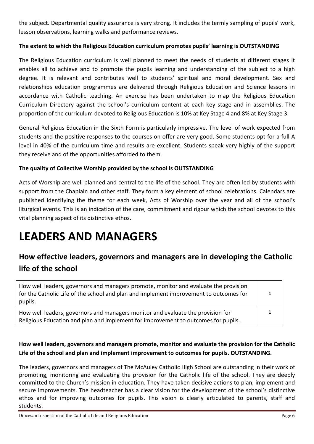the subject. Departmental quality assurance is very strong. It includes the termly sampling of pupils' work, lesson observations, learning walks and performance reviews.

### **The extent to which the Religious Education curriculum promotes pupils' learning is OUTSTANDING**

The Religious Education curriculum is well planned to meet the needs of students at different stages It enables all to achieve and to promote the pupils learning and understanding of the subject to a high degree. It is relevant and contributes well to students' spiritual and moral development. Sex and relationships education programmes are delivered through Religious Education and Science lessons in accordance with Catholic teaching. An exercise has been undertaken to map the Religious Education Curriculum Directory against the school's curriculum content at each key stage and in assemblies. The proportion of the curriculum devoted to Religious Education is 10% at Key Stage 4 and 8% at Key Stage 3.

General Religious Education in the Sixth Form is particularly impressive. The level of work expected from students and the positive responses to the courses on offer are very good. Some students opt for a full A level in 40% of the curriculum time and results are excellent. Students speak very highly of the support they receive and of the opportunities afforded to them.

#### **The quality of Collective Worship provided by the school is OUTSTANDING**

Acts of Worship are well planned and central to the life of the school. They are often led by students with support from the Chaplain and other staff. They form a key element of school celebrations. Calendars are published identifying the theme for each week, Acts of Worship over the year and all of the school's liturgical events. This is an indication of the care, commitment and rigour which the school devotes to this vital planning aspect of its distinctive ethos.

## **LEADERS AND MANAGERS**

## **How effective leaders, governors and managers are in developing the Catholic life of the school**

| How well leaders, governors and managers promote, monitor and evaluate the provision<br>for the Catholic Life of the school and plan and implement improvement to outcomes for<br>pupils. |  |
|-------------------------------------------------------------------------------------------------------------------------------------------------------------------------------------------|--|
| How well leaders, governors and managers monitor and evaluate the provision for<br>Religious Education and plan and implement for improvement to outcomes for pupils.                     |  |

## **How well leaders, governors and managers promote, monitor and evaluate the provision for the Catholic Life of the school and plan and implement improvement to outcomes for pupils. OUTSTANDING.**

The leaders, governors and managers of The McAuley Catholic High School are outstanding in their work of promoting, monitoring and evaluating the provision for the Catholic life of the school. They are deeply committed to the Church's mission in education. They have taken decisive actions to plan, implement and secure improvements. The headteacher has a clear vision for the development of the school's distinctive ethos and for improving outcomes for pupils. This vision is clearly articulated to parents, staff and students.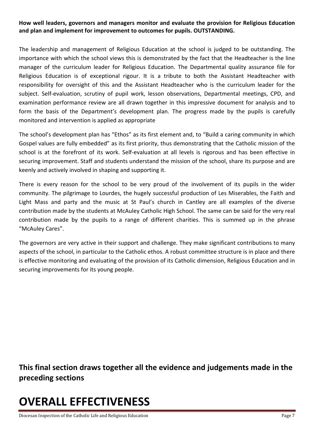### **How well leaders, governors and managers monitor and evaluate the provision for Religious Education and plan and implement for improvement to outcomes for pupils. OUTSTANDING.**

The leadership and management of Religious Education at the school is judged to be outstanding. The importance with which the school views this is demonstrated by the fact that the Headteacher is the line manager of the curriculum leader for Religious Education. The Departmental quality assurance file for Religious Education is of exceptional rigour. It is a tribute to both the Assistant Headteacher with responsibility for oversight of this and the Assistant Headteacher who is the curriculum leader for the subject. Self-evaluation, scrutiny of pupil work, lesson observations, Departmental meetings, CPD, and examination performance review are all drawn together in this impressive document for analysis and to form the basis of the Department's development plan. The progress made by the pupils is carefully monitored and intervention is applied as appropriate

The school's development plan has "Ethos" as its first element and, to "Build a caring community in which Gospel values are fully embedded" as its first priority, thus demonstrating that the Catholic mission of the school is at the forefront of its work. Self-evaluation at all levels is rigorous and has been effective in securing improvement. Staff and students understand the mission of the school, share its purpose and are keenly and actively involved in shaping and supporting it.

There is every reason for the school to be very proud of the involvement of its pupils in the wider community. The pilgrimage to Lourdes, the hugely successful production of Les Miserables, the Faith and Light Mass and party and the music at St Paul's church in Cantley are all examples of the diverse contribution made by the students at McAuley Catholic High School. The same can be said for the very real contribution made by the pupils to a range of different charities. This is summed up in the phrase "McAuley Cares".

The governors are very active in their support and challenge. They make significant contributions to many aspects of the school, in particular to the Catholic ethos. A robust committee structure is in place and there is effective monitoring and evaluating of the provision of its Catholic dimension, Religious Education and in securing improvements for its young people.

**This final section draws together all the evidence and judgements made in the preceding sections**

# **OVERALL EFFECTIVENESS**